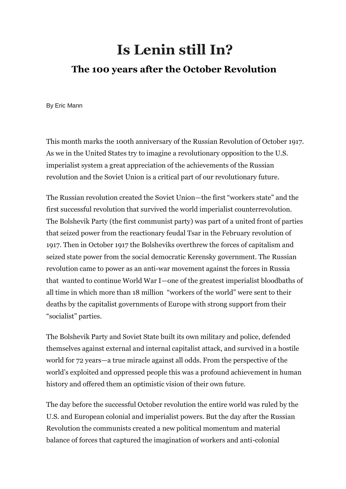# **Is Lenin still In?**

# **The 100 [years after the October Revolution](https://www.counterpunch.org/2017/10/30/the-100th-anniversary-of-the-october-revolution-the-great-breakthrough-in-anti-imperialist-socialism/)**

By Eric Mann

This month marks the 100th anniversary of the Russian Revolution of October 1917. As we in the United States try to imagine a revolutionary opposition to the U.S. imperialist system a great appreciation of the achievements of the Russian revolution and the Soviet Union is a critical part of our revolutionary future.

The Russian revolution created the Soviet Union—the first "workers state" and the first successful revolution that survived the world imperialist counterrevolution. The Bolshevik Party (the first communist party) was part of a united front of parties that seized power from the reactionary feudal Tsar in the February revolution of 1917. Then in October 1917 the Bolsheviks overthrew the forces of capitalism and seized state power from the social democratic Kerensky government. The Russian revolution came to power as an anti-war movement against the forces in Russia that wanted to continue World War I—one of the greatest imperialist bloodbaths of all time in which more than 18 million "workers of the world" were sent to their deaths by the capitalist governments of Europe with strong support from their "socialist" parties.

The Bolshevik Party and Soviet State built its own military and police, defended themselves against external and internal capitalist attack, and survived in a hostile world for 72 years—a true miracle against all odds. From the perspective of the world's exploited and oppressed people this was a profound achievement in human history and offered them an optimistic vision of their own future.

The day before the successful October revolution the entire world was ruled by the U.S. and European colonial and imperialist powers. But the day after the Russian Revolution the communists created a new political momentum and material balance of forces that captured the imagination of workers and anti-colonial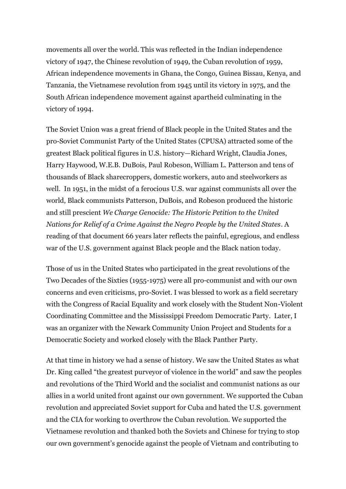movements all over the world. This was reflected in the Indian independence victory of 1947, the Chinese revolution of 1949, the Cuban revolution of 1959, African independence movements in Ghana, the Congo, Guinea Bissau, Kenya, and Tanzania, the Vietnamese revolution from 1945 until its victory in 1975, and the South African independence movement against apartheid culminating in the victory of 1994.

The Soviet Union was a great friend of Black people in the United States and the pro-Soviet Communist Party of the United States (CPUSA) attracted some of the greatest Black political figures in U.S. history—Richard Wright, Claudia Jones, Harry Haywood, W.E.B. DuBois, Paul Robeson, William L. Patterson and tens of thousands of Black sharecroppers, domestic workers, auto and steelworkers as well. In 1951, in the midst of a ferocious U.S. war against communists all over the world, Black communists Patterson, DuBois, and Robeson produced the historic and still prescient *We Charge Genocide: The Historic Petition to the United Nations for Relief of a Crime Against the Negro People by the United States*. A reading of that document 66 years later reflects the painful, egregious, and endless war of the U.S. government against Black people and the Black nation today.

Those of us in the United States who participated in the great revolutions of the Two Decades of the Sixties (1955-1975) were all pro-communist and with our own concerns and even criticisms, pro-Soviet. I was blessed to work as a field secretary with the Congress of Racial Equality and work closely with the Student Non-Violent Coordinating Committee and the Mississippi Freedom Democratic Party. Later, I was an organizer with the Newark Community Union Project and Students for a Democratic Society and worked closely with the Black Panther Party.

At that time in history we had a sense of history. We saw the United States as what Dr. King called "the greatest purveyor of violence in the world" and saw the peoples and revolutions of the Third World and the socialist and communist nations as our allies in a world united front against our own government. We supported the Cuban revolution and appreciated Soviet support for Cuba and hated the U.S. government and the CIA for working to overthrow the Cuban revolution. We supported the Vietnamese revolution and thanked both the Soviets and Chinese for trying to stop our own government's genocide against the people of Vietnam and contributing to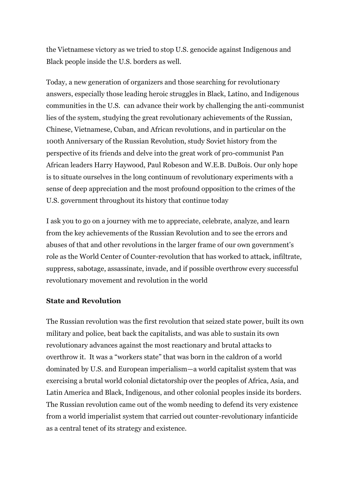the Vietnamese victory as we tried to stop U.S. genocide against Indigenous and Black people inside the U.S. borders as well.

Today, a new generation of organizers and those searching for revolutionary answers, especially those leading heroic struggles in Black, Latino, and Indigenous communities in the U.S. can advance their work by challenging the anti-communist lies of the system, studying the great revolutionary achievements of the Russian, Chinese, Vietnamese, Cuban, and African revolutions, and in particular on the 100th Anniversary of the Russian Revolution, study Soviet history from the perspective of its friends and delve into the great work of pro-communist Pan African leaders Harry Haywood, Paul Robeson and W.E.B. DuBois. Our only hope is to situate ourselves in the long continuum of revolutionary experiments with a sense of deep appreciation and the most profound opposition to the crimes of the U.S. government throughout its history that continue today

I ask you to go on a journey with me to appreciate, celebrate, analyze, and learn from the key achievements of the Russian Revolution and to see the errors and abuses of that and other revolutions in the larger frame of our own government's role as the World Center of Counter-revolution that has worked to attack, infiltrate, suppress, sabotage, assassinate, invade, and if possible overthrow every successful revolutionary movement and revolution in the world

#### **State and Revolution**

The Russian revolution was the first revolution that seized state power, built its own military and police, beat back the capitalists, and was able to sustain its own revolutionary advances against the most reactionary and brutal attacks to overthrow it. It was a "workers state" that was born in the caldron of a world dominated by U.S. and European imperialism—a world capitalist system that was exercising a brutal world colonial dictatorship over the peoples of Africa, Asia, and Latin America and Black, Indigenous, and other colonial peoples inside its borders. The Russian revolution came out of the womb needing to defend its very existence from a world imperialist system that carried out counter-revolutionary infanticide as a central tenet of its strategy and existence.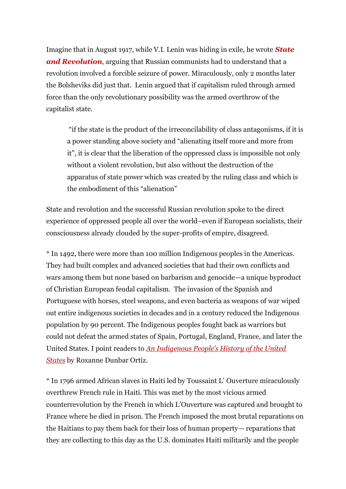Imagine that in August 1917, while V.I. Lenin was hiding in exile, he wrote *[State](http://www.amazon.com/exec/obidos/ASIN/160386735X/counterpunchmaga)  [and Revolution](http://www.amazon.com/exec/obidos/ASIN/160386735X/counterpunchmaga)*, arguing that Russian communists had to understand that a revolution involved a forcible seizure of power. Miraculously, only 2 months later the Bolsheviks did just that. Lenin argued that if capitalism ruled through armed force than the only revolutionary possibility was the armed overthrow of the capitalist state.

"if the state is the product of the irreconcilability of class antagonisms, if it is a power standing above society and "alienating itself more and more from it", it is clear that the liberation of the oppressed class is impossible not only without a violent revolution, but also without the destruction of the apparatus of state power which was created by the ruling class and which is the embodiment of this "alienation"

State and revolution and the successful Russian revolution spoke to the direct experience of oppressed people all over the world–even if European socialists, their consciousness already clouded by the super-profits of empire, disagreed.

\* In 1492, there were more than 100 million Indigenous peoples in the Americas. They had built complex and advanced societies that had their own conflicts and wars among them but none based on barbarism and genocide—a unique byproduct of Christian European feudal capitalism. The invasion of the Spanish and Portuguese with horses, steel weapons, and even bacteria as weapons of war wiped out entire indigenous societies in decades and in a century reduced the Indigenous population by 90 percent. The Indigenous peoples fought back as warriors but could not defeat the armed states of Spain, Portugal, England, France, and later the United States. I point readers to *[An Indigenous People's History of the United](http://www.amazon.com/exec/obidos/ASIN/0807057835/counterpunchmaga)  [States](http://www.amazon.com/exec/obidos/ASIN/0807057835/counterpunchmaga)* by Roxanne Dunbar Ortiz.

\* In 1796 armed African slaves in Haiti led by Toussaint L' Ouverture miraculously overthrew French rule in Haiti. This was met by the most vicious armed counterrevolution by the French in which L'Ouverture was captured and brought to France where he died in prison. The French imposed the most brutal reparations on the Haitians to pay them back for their loss of human property— reparations that they are collecting to this day as the U.S. dominates Haiti militarily and the people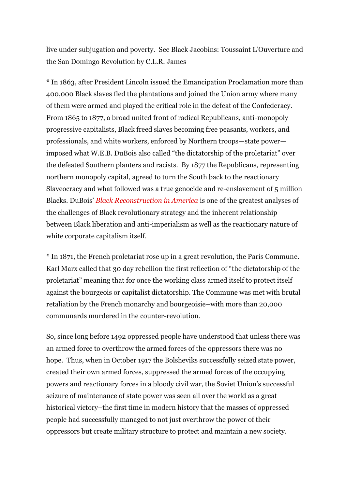live under subjugation and poverty. See Black Jacobins: Toussaint L'Ouverture and the San Domingo Revolution by C.L.R. James

\* In 1863, after President Lincoln issued the Emancipation Proclamation more than 400,000 Black slaves fled the plantations and joined the Union army where many of them were armed and played the critical role in the defeat of the Confederacy. From 1865 to 1877, a broad united front of radical Republicans, anti-monopoly progressive capitalists, Black freed slaves becoming free peasants, workers, and professionals, and white workers, enforced by Northern troops—state power imposed what W.E.B. DuBois also called "the dictatorship of the proletariat" over the defeated Southern planters and racists. By 1877 the Republicans, representing northern monopoly capital, agreed to turn the South back to the reactionary Slaveocracy and what followed was a true genocide and re-enslavement of 5 million Blacks. DuBois' *[Black Reconstruction in America](http://www.amazon.com/exec/obidos/ASIN/0684856573/counterpunchmaga)* is one of the greatest analyses of the challenges of Black revolutionary strategy and the inherent relationship between Black liberation and anti-imperialism as well as the reactionary nature of white corporate capitalism itself.

\* In 1871, the French proletariat rose up in a great revolution, the Paris Commune. Karl Marx called that 30 day rebellion the first reflection of "the dictatorship of the proletariat" meaning that for once the working class armed itself to protect itself against the bourgeois or capitalist dictatorship. The Commune was met with brutal retaliation by the French monarchy and bourgeoisie–with more than 20,000 communards murdered in the counter-revolution.

So, since long before 1492 oppressed people have understood that unless there was an armed force to overthrow the armed forces of the oppressors there was no hope. Thus, when in October 1917 the Bolsheviks successfully seized state power, created their own armed forces, suppressed the armed forces of the occupying powers and reactionary forces in a bloody civil war, the Soviet Union's successful seizure of maintenance of state power was seen all over the world as a great historical victory–the first time in modern history that the masses of oppressed people had successfully managed to not just overthrow the power of their oppressors but create military structure to protect and maintain a new society.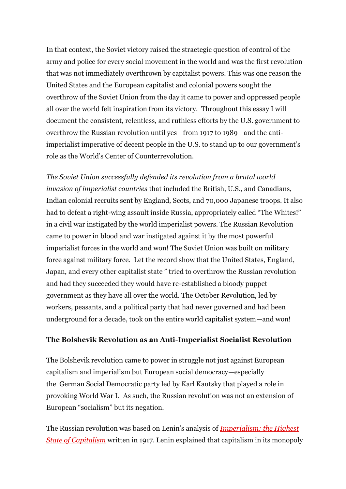In that context, the Soviet victory raised the straetegic question of control of the army and police for every social movement in the world and was the first revolution that was not immediately overthrown by capitalist powers. This was one reason the United States and the European capitalist and colonial powers sought the overthrow of the Soviet Union from the day it came to power and oppressed people all over the world felt inspiration from its victory. Throughout this essay I will document the consistent, relentless, and ruthless efforts by the U.S. government to overthrow the Russian revolution until yes—from 1917 to 1989—and the antiimperialist imperative of decent people in the U.S. to stand up to our government's role as the World's Center of Counterrevolution.

*The Soviet Union successfully defended its revolution from a brutal world invasion of imperialist countries* that included the British, U.S., and Canadians, Indian colonial recruits sent by England, Scots, and 70,000 Japanese troops. It also had to defeat a right-wing assault inside Russia, appropriately called "The Whites!" in a civil war instigated by the world imperialist powers. The Russian Revolution came to power in blood and war instigated against it by the most powerful imperialist forces in the world and won! The Soviet Union was built on military force against military force. Let the record show that the United States, England, Japan, and every other capitalist state " tried to overthrow the Russian revolution and had they succeeded they would have re-established a bloody puppet government as they have all over the world. The October Revolution, led by workers, peasants, and a political party that had never governed and had been underground for a decade, took on the entire world capitalist system—and won!

#### **The Bolshevik Revolution as an Anti-Imperialist Socialist Revolution**

The Bolshevik revolution came to power in struggle not just against European capitalism and imperialism but European social democracy—especially the German Social Democratic party led by Karl Kautsky that played a role in provoking World War I. As such, the Russian revolution was not an extension of European "socialism" but its negation.

The Russian revolution was based on Lenin's analysis of *[Imperialism: the Highest](http://www.amazon.com/exec/obidos/ASIN/1603866639/counterpunchmaga)  [State of Capitalism](http://www.amazon.com/exec/obidos/ASIN/1603866639/counterpunchmaga)* written in 1917. Lenin explained that capitalism in its monopoly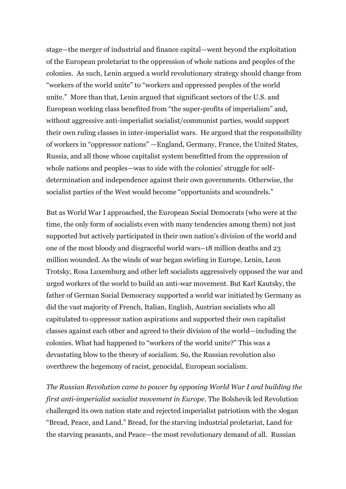stage—the merger of industrial and finance capital—went beyond the exploitation of the European proletariat to the oppression of whole nations and peoples of the colonies. As such, Lenin argued a world revolutionary strategy should change from "workers of the world unite" to "workers and oppressed peoples of the world unite." More than that, Lenin argued that significant sectors of the U.S. and European working class benefited from "the super-profits of imperialism" and, without aggressive anti-imperialist socialist/communist parties, would support their own ruling classes in inter-imperialist wars. He argued that the responsibility of workers in "oppressor nations" —England, Germany, France, the United States, Russia, and all those whose capitalist system benefitted from the oppression of whole nations and peoples—was to side with the colonies' struggle for selfdetermination and independence against their own governments. Otherwise, the socialist parties of the West would become "opportunists and scoundrels."

But as World War I approached, the European Social Democrats (who were at the time, the only form of socialists even with many tendencies among them) not just supported but actively participated in their own nation's division of the world and one of the most bloody and disgraceful world wars–18 million deaths and 23 million wounded. As the winds of war began swirling in Europe, Lenin, Leon Trotsky, Rosa Luxemburg and other left socialists aggressively opposed the war and urged workers of the world to build an anti-war movement. But Karl Kautsky, the father of German Social Democracy supported a world war initiated by Germany as did the vast majority of French, Italian, English, Austrian socialists who all capitulated to oppressor nation aspirations and supported their own capitalist classes against each other and agreed to their division of the world—including the colonies. What had happened to "workers of the world unite?" This was a devastating blow to the theory of socialism. So, the Russian revolution also overthrew the hegemony of racist, genocidal, European socialism.

*The Russian Revolution came to power by opposing World War I and building the first anti-imperialist socialist movement in Europe*. The Bolshevik led Revolution challenged its own nation state and rejected imperialist patriotism with the slogan "Bread, Peace, and Land." Bread, for the starving industrial proletariat, Land for the starving peasants, and Peace—the most revolutionary demand of all. Russian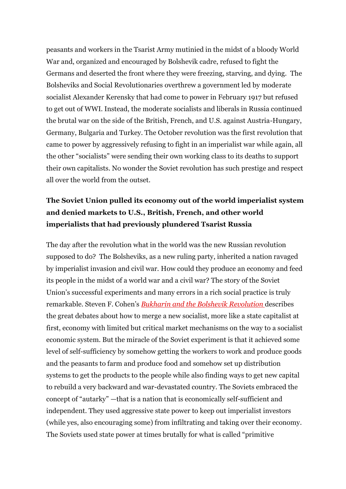peasants and workers in the Tsarist Army mutinied in the midst of a bloody World War and, organized and encouraged by Bolshevik cadre, refused to fight the Germans and deserted the front where they were freezing, starving, and dying. The Bolsheviks and Social Revolutionaries overthrew a government led by moderate socialist Alexander Kerensky that had come to power in February 1917 but refused to get out of WWI. Instead, the moderate socialists and liberals in Russia continued the brutal war on the side of the British, French, and U.S. against Austria-Hungary, Germany, Bulgaria and Turkey. The October revolution was the first revolution that came to power by aggressively refusing to fight in an imperialist war while again, all the other "socialists" were sending their own working class to its deaths to support their own capitalists. No wonder the Soviet revolution has such prestige and respect all over the world from the outset.

## **The Soviet Union pulled its economy out of the world imperialist system and denied markets to U.S., British, French, and other world imperialists that had previously plundered Tsarist Russia**

The day after the revolution what in the world was the new Russian revolution supposed to do? The Bolsheviks, as a new ruling party, inherited a nation ravaged by imperialist invasion and civil war. How could they produce an economy and feed its people in the midst of a world war and a civil war? The story of the Soviet Union's successful experiments and many errors in a rich social practice is truly remarkable. Steven F. Cohen's *[Bukharin and the Bolshevik Revolution](http://www.amazon.com/exec/obidos/ASIN/0195026977/counterpunchmaga)* describes the great debates about how to merge a new socialist, more like a state capitalist at first, economy with limited but critical market mechanisms on the way to a socialist economic system. But the miracle of the Soviet experiment is that it achieved some level of self-sufficiency by somehow getting the workers to work and produce goods and the peasants to farm and produce food and somehow set up distribution systems to get the products to the people while also finding ways to get new capital to rebuild a very backward and war-devastated country. The Soviets embraced the concept of "autarky" —that is a nation that is economically self-sufficient and independent. They used aggressive state power to keep out imperialist investors (while yes, also encouraging some) from infiltrating and taking over their economy. The Soviets used state power at times brutally for what is called "primitive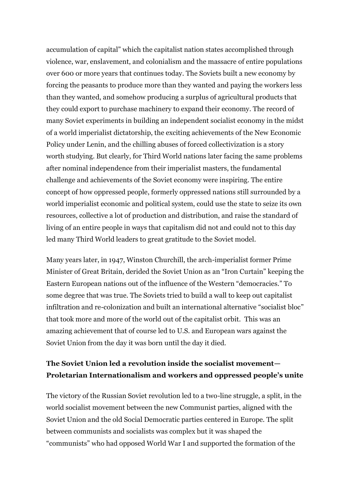accumulation of capital" which the capitalist nation states accomplished through violence, war, enslavement, and colonialism and the massacre of entire populations over 600 or more years that continues today. The Soviets built a new economy by forcing the peasants to produce more than they wanted and paying the workers less than they wanted, and somehow producing a surplus of agricultural products that they could export to purchase machinery to expand their economy. The record of many Soviet experiments in building an independent socialist economy in the midst of a world imperialist dictatorship, the exciting achievements of the New Economic Policy under Lenin, and the chilling abuses of forced collectivization is a story worth studying. But clearly, for Third World nations later facing the same problems after nominal independence from their imperialist masters, the fundamental challenge and achievements of the Soviet economy were inspiring. The entire concept of how oppressed people, formerly oppressed nations still surrounded by a world imperialist economic and political system, could use the state to seize its own resources, collective a lot of production and distribution, and raise the standard of living of an entire people in ways that capitalism did not and could not to this day led many Third World leaders to great gratitude to the Soviet model.

Many years later, in 1947, Winston Churchill, the arch-imperialist former Prime Minister of Great Britain, derided the Soviet Union as an "Iron Curtain" keeping the Eastern European nations out of the influence of the Western "democracies." To some degree that was true. The Soviets tried to build a wall to keep out capitalist infiltration and re-colonization and built an international alternative "socialist bloc" that took more and more of the world out of the capitalist orbit. This was an amazing achievement that of course led to U.S. and European wars against the Soviet Union from the day it was born until the day it died.

#### **The Soviet Union led a revolution inside the socialist movement— Proletarian Internationalism and workers and oppressed people's unite**

The victory of the Russian Soviet revolution led to a two-line struggle, a split, in the world socialist movement between the new Communist parties, aligned with the Soviet Union and the old Social Democratic parties centered in Europe. The split between communists and socialists was complex but it was shaped the "communists" who had opposed World War I and supported the formation of the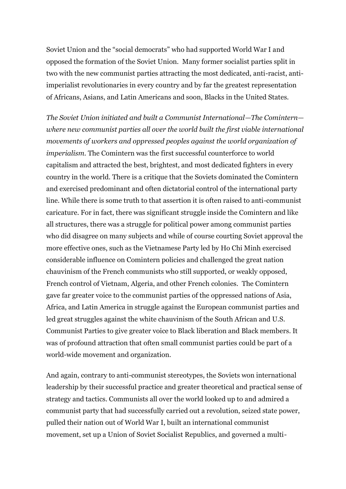Soviet Union and the "social democrats" who had supported World War I and opposed the formation of the Soviet Union. Many former socialist parties split in two with the new communist parties attracting the most dedicated, anti-racist, antiimperialist revolutionaries in every country and by far the greatest representation of Africans, Asians, and Latin Americans and soon, Blacks in the United States.

*The Soviet Union initiated and built a Communist International—The Comintern where new communist parties all over the world built the first viable international movements of workers and oppressed peoples against the world organization of imperialism.* The Comintern was the first successful counterforce to world capitalism and attracted the best, brightest, and most dedicated fighters in every country in the world. There is a critique that the Soviets dominated the Comintern and exercised predominant and often dictatorial control of the international party line. While there is some truth to that assertion it is often raised to anti-communist caricature. For in fact, there was significant struggle inside the Comintern and like all structures, there was a struggle for political power among communist parties who did disagree on many subjects and while of course courting Soviet approval the more effective ones, such as the Vietnamese Party led by Ho Chi Minh exercised considerable influence on Comintern policies and challenged the great nation chauvinism of the French communists who still supported, or weakly opposed, French control of Vietnam, Algeria, and other French colonies. The Comintern gave far greater voice to the communist parties of the oppressed nations of Asia, Africa, and Latin America in struggle against the European communist parties and led great struggles against the white chauvinism of the South African and U.S. Communist Parties to give greater voice to Black liberation and Black members. It was of profound attraction that often small communist parties could be part of a world-wide movement and organization.

And again, contrary to anti-communist stereotypes, the Soviets won international leadership by their successful practice and greater theoretical and practical sense of strategy and tactics. Communists all over the world looked up to and admired a communist party that had successfully carried out a revolution, seized state power, pulled their nation out of World War I, built an international communist movement, set up a Union of Soviet Socialist Republics, and governed a multi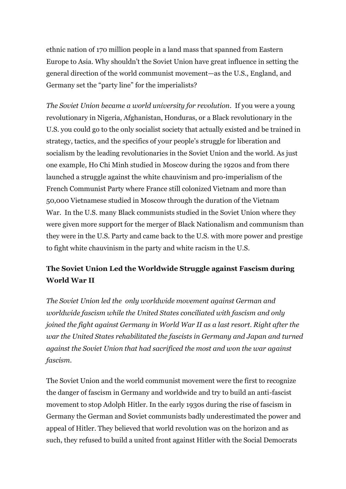ethnic nation of 170 million people in a land mass that spanned from Eastern Europe to Asia. Why shouldn't the Soviet Union have great influence in setting the general direction of the world communist movement—as the U.S., England, and Germany set the "party line" for the imperialists?

*The Soviet Union became a world university for revolution*. If you were a young revolutionary in Nigeria, Afghanistan, Honduras, or a Black revolutionary in the U.S. you could go to the only socialist society that actually existed and be trained in strategy, tactics, and the specifics of your people's struggle for liberation and socialism by the leading revolutionaries in the Soviet Union and the world. As just one example, Ho Chi Minh studied in Moscow during the 1920s and from there launched a struggle against the white chauvinism and pro-imperialism of the French Communist Party where France still colonized Vietnam and more than 50,000 Vietnamese studied in Moscow through the duration of the Vietnam War. In the U.S. many Black communists studied in the Soviet Union where they were given more support for the merger of Black Nationalism and communism than they were in the U.S. Party and came back to the U.S. with more power and prestige to fight white chauvinism in the party and white racism in the U.S.

### **The Soviet Union Led the Worldwide Struggle against Fascism during World War II**

*The Soviet Union led the only worldwide movement against German and worldwide fascism while the United States conciliated with fascism and only joined the fight against Germany in World War II as a last resort. Right after the war the United States rehabilitated the fascists in Germany and Japan and turned against the Soviet Union that had sacrificed the most and won the war against fascism.* 

The Soviet Union and the world communist movement were the first to recognize the danger of fascism in Germany and worldwide and try to build an anti-fascist movement to stop Adolph Hitler. In the early 1930s during the rise of fascism in Germany the German and Soviet communists badly underestimated the power and appeal of Hitler. They believed that world revolution was on the horizon and as such, they refused to build a united front against Hitler with the Social Democrats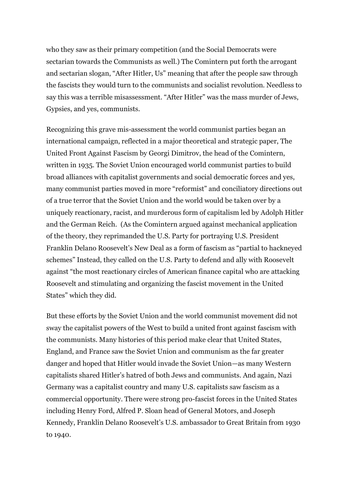who they saw as their primary competition (and the Social Democrats were sectarian towards the Communists as well.) The Comintern put forth the arrogant and sectarian slogan, "After Hitler, Us" meaning that after the people saw through the fascists they would turn to the communists and socialist revolution. Needless to say this was a terrible misassessment. "After Hitler" was the mass murder of Jews, Gypsies, and yes, communists.

Recognizing this grave mis-assessment the world communist parties began an international campaign, reflected in a major theoretical and strategic paper, The United Front Against Fascism by Georgi Dimitrov, the head of the Comintern, written in 1935. The Soviet Union encouraged world communist parties to build broad alliances with capitalist governments and social democratic forces and yes, many communist parties moved in more "reformist" and conciliatory directions out of a true terror that the Soviet Union and the world would be taken over by a uniquely reactionary, racist, and murderous form of capitalism led by Adolph Hitler and the German Reich. (As the Comintern argued against mechanical application of the theory, they reprimanded the U.S. Party for portraying U.S. President Franklin Delano Roosevelt's New Deal as a form of fascism as "partial to hackneyed schemes" Instead, they called on the U.S. Party to defend and ally with Roosevelt against "the most reactionary circles of American finance capital who are attacking Roosevelt and stimulating and organizing the fascist movement in the United States" which they did.

But these efforts by the Soviet Union and the world communist movement did not sway the capitalist powers of the West to build a united front against fascism with the communists. Many histories of this period make clear that United States, England, and France saw the Soviet Union and communism as the far greater danger and hoped that Hitler would invade the Soviet Union—as many Western capitalists shared Hitler's hatred of both Jews and communists. And again, Nazi Germany was a capitalist country and many U.S. capitalists saw fascism as a commercial opportunity. There were strong pro-fascist forces in the United States including Henry Ford, Alfred P. Sloan head of General Motors, and Joseph Kennedy, Franklin Delano Roosevelt's U.S. ambassador to Great Britain from 1930 to 1940.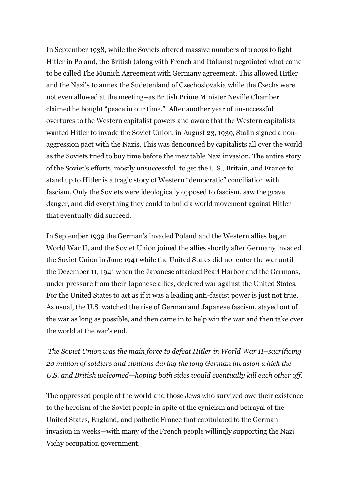In September 1938, while the Soviets offered massive numbers of troops to fight Hitler in Poland, the British (along with French and Italians) negotiated what came to be called The Munich Agreement with Germany agreement. This allowed Hitler and the Nazi's to annex the Sudetenland of Czechoslovakia while the Czechs were not even allowed at the meeting–as British Prime Minister Neville Chamber claimed he bought "peace in our time." After another year of unsuccessful overtures to the Western capitalist powers and aware that the Western capitalists wanted Hitler to invade the Soviet Union, in August 23, 1939, Stalin signed a nonaggression pact with the Nazis. This was denounced by capitalists all over the world as the Soviets tried to buy time before the inevitable Nazi invasion. The entire story of the Soviet's efforts, mostly unsuccessful, to get the U.S., Britain, and France to stand up to Hitler is a tragic story of Western "democratic" conciliation with fascism. Only the Soviets were ideologically opposed to fascism, saw the grave danger, and did everything they could to build a world movement against Hitler that eventually did succeed.

In September 1939 the German's invaded Poland and the Western allies began World War II, and the Soviet Union joined the allies shortly after Germany invaded the Soviet Union in June 1941 while the United States did not enter the war until the December 11, 1941 when the Japanese attacked Pearl Harbor and the Germans, under pressure from their Japanese allies, declared war against the United States. For the United States to act as if it was a leading anti-fascist power is just not true. As usual, the U.S. watched the rise of German and Japanese fascism, stayed out of the war as long as possible, and then came in to help win the war and then take over the world at the war's end.

*The Soviet Union was the main force to defeat Hitler in World War II–sacrificing 20 million of soldiers and civilians during the long German invasion which the U.S. and British welcomed—hoping both sides would eventually kill each other off.* 

The oppressed people of the world and those Jews who survived owe their existence to the heroism of the Soviet people in spite of the cynicism and betrayal of the United States, England, and pathetic France that capitulated to the German invasion in weeks—with many of the French people willingly supporting the Nazi Vichy occupation government.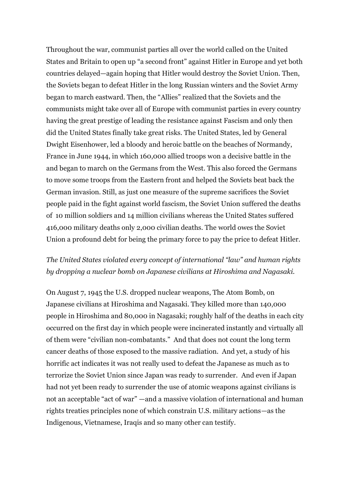Throughout the war, communist parties all over the world called on the United States and Britain to open up "a second front" against Hitler in Europe and yet both countries delayed—again hoping that Hitler would destroy the Soviet Union. Then, the Soviets began to defeat Hitler in the long Russian winters and the Soviet Army began to march eastward. Then, the "Allies" realized that the Soviets and the communists might take over all of Europe with communist parties in every country having the great prestige of leading the resistance against Fascism and only then did the United States finally take great risks. The United States, led by General Dwight Eisenhower, led a bloody and heroic battle on the beaches of Normandy, France in June 1944, in which 160,000 allied troops won a decisive battle in the and began to march on the Germans from the West. This also forced the Germans to move some troops from the Eastern front and helped the Soviets beat back the German invasion. Still, as just one measure of the supreme sacrifices the Soviet people paid in the fight against world fascism, the Soviet Union suffered the deaths of 10 million soldiers and 14 million civilians whereas the United States suffered 416,000 military deaths only 2,000 civilian deaths. The world owes the Soviet Union a profound debt for being the primary force to pay the price to defeat Hitler.

#### *The United States violated every concept of international "law" and human rights by dropping a nuclear bomb on Japanese civilians at Hiroshima and Nagasaki.*

On August 7, 1945 the U.S. dropped nuclear weapons, The Atom Bomb, on Japanese civilians at Hiroshima and Nagasaki. They killed more than 140,000 people in Hiroshima and 80,000 in Nagasaki; roughly half of the deaths in each city occurred on the first day in which people were incinerated instantly and virtually all of them were "civilian non-combatants." And that does not count the long term cancer deaths of those exposed to the massive radiation. And yet, a study of his horrific act indicates it was not really used to defeat the Japanese as much as to terrorize the Soviet Union since Japan was ready to surrender. And even if Japan had not yet been ready to surrender the use of atomic weapons against civilians is not an acceptable "act of war" —and a massive violation of international and human rights treaties principles none of which constrain U.S. military actions—as the Indigenous, Vietnamese, Iraqis and so many other can testify.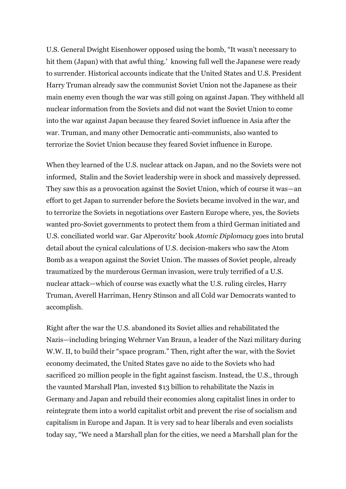U.S. General Dwight Eisenhower opposed using the bomb, "It wasn't necessary to hit them (Japan) with that awful thing.' knowing full well the Japanese were ready to surrender. Historical accounts indicate that the United States and U.S. President Harry Truman already saw the communist Soviet Union not the Japanese as their main enemy even though the war was still going on against Japan. They withheld all nuclear information from the Soviets and did not want the Soviet Union to come into the war against Japan because they feared Soviet influence in Asia after the war. Truman, and many other Democratic anti-communists, also wanted to terrorize the Soviet Union because they feared Soviet influence in Europe.

When they learned of the U.S. nuclear attack on Japan, and no the Soviets were not informed, Stalin and the Soviet leadership were in shock and massively depressed. They saw this as a provocation against the Soviet Union, which of course it was—an effort to get Japan to surrender before the Soviets became involved in the war, and to terrorize the Soviets in negotiations over Eastern Europe where, yes, the Soviets wanted pro-Soviet governments to protect them from a third German initiated and U.S. conciliated world war. Gar Alperovitz' book *Atomic Diplomacy* goes into brutal detail about the cynical calculations of U.S. decision-makers who saw the Atom Bomb as a weapon against the Soviet Union. The masses of Soviet people, already traumatized by the murderous German invasion, were truly terrified of a U.S. nuclear attack—which of course was exactly what the U.S. ruling circles, Harry Truman, Averell Harriman, Henry Stinson and all Cold war Democrats wanted to accomplish.

Right after the war the U.S. abandoned its Soviet allies and rehabilitated the Nazis—including bringing Wehrner Van Braun, a leader of the Nazi military during W.W. II, to build their "space program." Then, right after the war, with the Soviet economy decimated, the United States gave no aide to the Soviets who had sacrificed 20 million people in the fight against fascism. Instead, the U.S., through the vaunted Marshall Plan, invested \$13 billion to rehabilitate the Nazis in Germany and Japan and rebuild their economies along capitalist lines in order to reintegrate them into a world capitalist orbit and prevent the rise of socialism and capitalism in Europe and Japan. It is very sad to hear liberals and even socialists today say, "We need a Marshall plan for the cities, we need a Marshall plan for the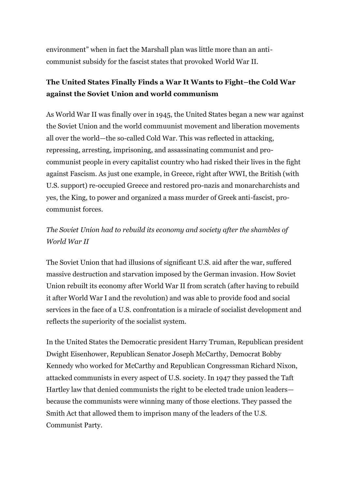environment" when in fact the Marshall plan was little more than an anticommunist subsidy for the fascist states that provoked World War II.

#### **The United States Finally Finds a War It Wants to Fight–the Cold War against the Soviet Union and world communism**

As World War II was finally over in 1945, the United States began a new war against the Soviet Union and the world commuunist movement and liberation movements all over the world—the so-called Cold War. This was reflected in attacking, repressing, arresting, imprisoning, and assassinating communist and procommunist people in every capitalist country who had risked their lives in the fight against Fascism. As just one example, in Greece, right after WWI, the British (with U.S. support) re-occupied Greece and restored pro-nazis and monarcharchists and yes, the King, to power and organized a mass murder of Greek anti-fascist, procommunist forces.

# *The Soviet Union had to rebuild its economy and society after the shambles of World War II*

The Soviet Union that had illusions of significant U.S. aid after the war, suffered massive destruction and starvation imposed by the German invasion. How Soviet Union rebuilt its economy after World War II from scratch (after having to rebuild it after World War I and the revolution) and was able to provide food and social services in the face of a U.S. confrontation is a miracle of socialist development and reflects the superiority of the socialist system.

In the United States the Democratic president Harry Truman, Republican president Dwight Eisenhower, Republican Senator Joseph McCarthy, Democrat Bobby Kennedy who worked for McCarthy and Republican Congressman Richard Nixon, attacked communists in every aspect of U.S. society. In 1947 they passed the Taft Hartley law that denied communists the right to be elected trade union leaders because the communists were winning many of those elections. They passed the Smith Act that allowed them to imprison many of the leaders of the U.S. Communist Party.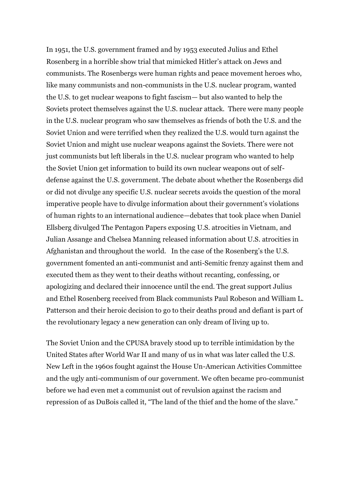In 1951, the U.S. government framed and by 1953 executed Julius and Ethel Rosenberg in a horrible show trial that mimicked Hitler's attack on Jews and communists. The Rosenbergs were human rights and peace movement heroes who, like many communists and non-communists in the U.S. nuclear program, wanted the U.S. to get nuclear weapons to fight fascism— but also wanted to help the Soviets protect themselves against the U.S. nuclear attack. There were many people in the U.S. nuclear program who saw themselves as friends of both the U.S. and the Soviet Union and were terrified when they realized the U.S. would turn against the Soviet Union and might use nuclear weapons against the Soviets. There were not just communists but left liberals in the U.S. nuclear program who wanted to help the Soviet Union get information to build its own nuclear weapons out of selfdefense against the U.S. government. The debate about whether the Rosenbergs did or did not divulge any specific U.S. nuclear secrets avoids the question of the moral imperative people have to divulge information about their government's violations of human rights to an international audience—debates that took place when Daniel Ellsberg divulged The Pentagon Papers exposing U.S. atrocities in Vietnam, and Julian Assange and Chelsea Manning released information about U.S. atrocities in Afghanistan and throughout the world. In the case of the Rosenberg's the U.S. government fomented an anti-communist and anti-Semitic frenzy against them and executed them as they went to their deaths without recanting, confessing, or apologizing and declared their innocence until the end. The great support Julius and Ethel Rosenberg received from Black communists Paul Robeson and William L. Patterson and their heroic decision to go to their deaths proud and defiant is part of the revolutionary legacy a new generation can only dream of living up to.

The Soviet Union and the CPUSA bravely stood up to terrible intimidation by the United States after World War II and many of us in what was later called the U.S. New Left in the 1960s fought against the House Un-American Activities Committee and the ugly anti-communism of our government. We often became pro-communist before we had even met a communist out of revulsion against the racism and repression of as DuBois called it, "The land of the thief and the home of the slave."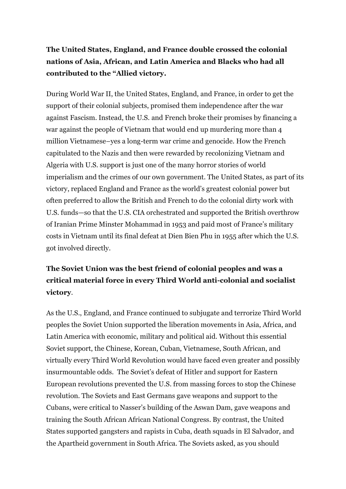# **The United States, England, and France double crossed the colonial nations of Asia, African, and Latin America and Blacks who had all contributed to the "Allied victory.**

During World War II, the United States, England, and France, in order to get the support of their colonial subjects, promised them independence after the war against Fascism. Instead, the U.S. and French broke their promises by financing a war against the people of Vietnam that would end up murdering more than 4 million Vietnamese–yes a long-term war crime and genocide. How the French capitulated to the Nazis and then were rewarded by recolonizing Vietnam and Algeria with U.S. support is just one of the many horror stories of world imperialism and the crimes of our own government. The United States, as part of its victory, replaced England and France as the world's greatest colonial power but often preferred to allow the British and French to do the colonial dirty work with U.S. funds—so that the U.S. CIA orchestrated and supported the British overthrow of Iranian Prime Minster Mohammad in 1953 and paid most of France's military costs in Vietnam until its final defeat at Dien Bien Phu in 1955 after which the U.S. got involved directly.

# **The Soviet Union was the best friend of colonial peoples and was a critical material force in every Third World anti-colonial and socialist victory**.

As the U.S., England, and France continued to subjugate and terrorize Third World peoples the Soviet Union supported the liberation movements in Asia, Africa, and Latin America with economic, military and political aid. Without this essential Soviet support, the Chinese, Korean, Cuban, Vietnamese, South African, and virtually every Third World Revolution would have faced even greater and possibly insurmountable odds. The Soviet's defeat of Hitler and support for Eastern European revolutions prevented the U.S. from massing forces to stop the Chinese revolution. The Soviets and East Germans gave weapons and support to the Cubans, were critical to Nasser's building of the Aswan Dam, gave weapons and training the South African African National Congress. By contrast, the United States supported gangsters and rapists in Cuba, death squads in El Salvador, and the Apartheid government in South Africa. The Soviets asked, as you should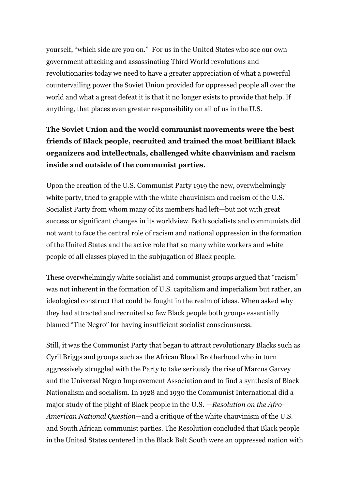yourself, "which side are you on." For us in the United States who see our own government attacking and assassinating Third World revolutions and revolutionaries today we need to have a greater appreciation of what a powerful countervailing power the Soviet Union provided for oppressed people all over the world and what a great defeat it is that it no longer exists to provide that help. If anything, that places even greater responsibility on all of us in the U.S.

# **The Soviet Union and the world communist movements were the best friends of Black people, recruited and trained the most brilliant Black organizers and intellectuals, challenged white chauvinism and racism inside and outside of the communist parties.**

Upon the creation of the U.S. Communist Party 1919 the new, overwhelmingly white party, tried to grapple with the white chauvinism and racism of the U.S. Socialist Party from whom many of its members had left—but not with great success or significant changes in its worldview. Both socialists and communists did not want to face the central role of racism and national oppression in the formation of the United States and the active role that so many white workers and white people of all classes played in the subjugation of Black people.

These overwhelmingly white socialist and communist groups argued that "racism" was not inherent in the formation of U.S. capitalism and imperialism but rather, an ideological construct that could be fought in the realm of ideas. When asked why they had attracted and recruited so few Black people both groups essentially blamed "The Negro" for having insufficient socialist consciousness.

Still, it was the Communist Party that began to attract revolutionary Blacks such as Cyril Briggs and groups such as the African Blood Brotherhood who in turn aggressively struggled with the Party to take seriously the rise of Marcus Garvey and the Universal Negro Improvement Association and to find a synthesis of Black Nationalism and socialism. In 1928 and 1930 the Communist International did a major study of the plight of Black people in the U.S. —*Resolution on the Afro-American National Question—*and a critique of the white chauvinism of the U.S. and South African communist parties. The Resolution concluded that Black people in the United States centered in the Black Belt South were an oppressed nation with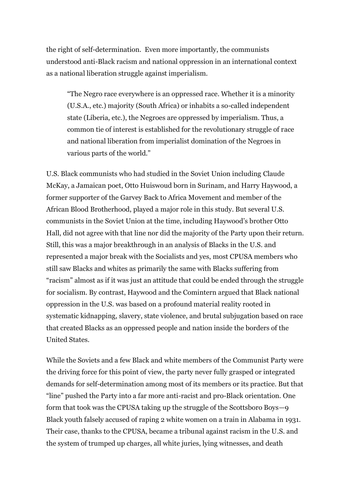the right of self-determination. Even more importantly, the communists understood anti-Black racism and national oppression in an international context as a national liberation struggle against imperialism.

"The Negro race everywhere is an oppressed race. Whether it is a minority (U.S.A., etc.) majority (South Africa) or inhabits a so-called independent state (Liberia, etc.), the Negroes are oppressed by imperialism. Thus, a common tie of interest is established for the revolutionary struggle of race and national liberation from imperialist domination of the Negroes in various parts of the world."

U.S. Black communists who had studied in the Soviet Union including Claude McKay, a Jamaican poet, Otto Huiswoud born in Surinam, and Harry Haywood, a former supporter of the Garvey Back to Africa Movement and member of the African Blood Brotherhood, played a major role in this study. But several U.S. communists in the Soviet Union at the time, including Haywood's brother Otto Hall, did not agree with that line nor did the majority of the Party upon their return. Still, this was a major breakthrough in an analysis of Blacks in the U.S. and represented a major break with the Socialists and yes, most CPUSA members who still saw Blacks and whites as primarily the same with Blacks suffering from "racism" almost as if it was just an attitude that could be ended through the struggle for socialism. By contrast, Haywood and the Comintern argued that Black national oppression in the U.S. was based on a profound material reality rooted in systematic kidnapping, slavery, state violence, and brutal subjugation based on race that created Blacks as an oppressed people and nation inside the borders of the United States.

While the Soviets and a few Black and white members of the Communist Party were the driving force for this point of view, the party never fully grasped or integrated demands for self-determination among most of its members or its practice. But that "line" pushed the Party into a far more anti-racist and pro-Black orientation. One form that took was the CPUSA taking up the struggle of the Scottsboro Boys—9 Black youth falsely accused of raping 2 white women on a train in Alabama in 1931. Their case, thanks to the CPUSA, became a tribunal against racism in the U.S. and the system of trumped up charges, all white juries, lying witnesses, and death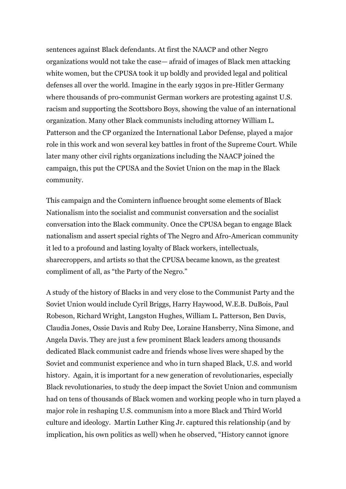sentences against Black defendants. At first the NAACP and other Negro organizations would not take the case— afraid of images of Black men attacking white women, but the CPUSA took it up boldly and provided legal and political defenses all over the world. Imagine in the early 1930s in pre-Hitler Germany where thousands of pro-communist German workers are protesting against U.S. racism and supporting the Scottsboro Boys, showing the value of an international organization. Many other Black communists including attorney William L. Patterson and the CP organized the International Labor Defense, played a major role in this work and won several key battles in front of the Supreme Court. While later many other civil rights organizations including the NAACP joined the campaign, this put the CPUSA and the Soviet Union on the map in the Black community.

This campaign and the Comintern influence brought some elements of Black Nationalism into the socialist and communist conversation and the socialist conversation into the Black community. Once the CPUSA began to engage Black nationalism and assert special rights of The Negro and Afro-American community it led to a profound and lasting loyalty of Black workers, intellectuals, sharecroppers, and artists so that the CPUSA became known, as the greatest compliment of all, as "the Party of the Negro."

A study of the history of Blacks in and very close to the Communist Party and the Soviet Union would include Cyril Briggs, Harry Haywood, W.E.B. DuBois, Paul Robeson, Richard Wright, Langston Hughes, William L. Patterson, Ben Davis, Claudia Jones, Ossie Davis and Ruby Dee, Loraine Hansberry, Nina Simone, and Angela Davis. They are just a few prominent Black leaders among thousands dedicated Black communist cadre and friends whose lives were shaped by the Soviet and communist experience and who in turn shaped Black, U.S. and world history. Again, it is important for a new generation of revolutionaries, especially Black revolutionaries, to study the deep impact the Soviet Union and communism had on tens of thousands of Black women and working people who in turn played a major role in reshaping U.S. communism into a more Black and Third World culture and ideology. Martin Luther King Jr. captured this relationship (and by implication, his own politics as well) when he observed, "History cannot ignore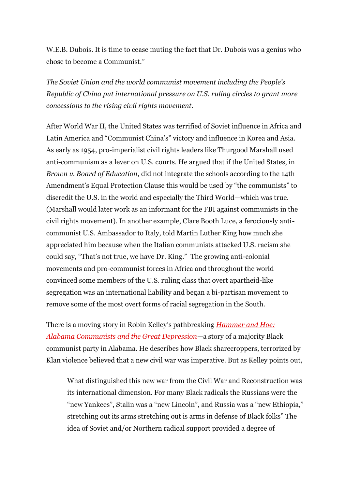W.E.B. Dubois. It is time to cease muting the fact that Dr. Dubois was a genius who chose to become a Communist."

*The Soviet Union and the world communist movement including the People's Republic of China put international pressure on U.S. ruling circles to grant more concessions to the rising civil rights movement.*

After World War II, the United States was terrified of Soviet influence in Africa and Latin America and "Communist China's" victory and influence in Korea and Asia. As early as 1954, pro-imperialist civil rights leaders like Thurgood Marshall used anti-communism as a lever on U.S. courts. He argued that if the United States, in *Brown v. Board of Education*, did not integrate the schools according to the 14th Amendment's Equal Protection Clause this would be used by "the communists" to discredit the U.S. in the world and especially the Third World—which was true. (Marshall would later work as an informant for the FBI against communists in the civil rights movement). In another example, Clare Booth Luce, a ferociously anticommunist U.S. Ambassador to Italy, told Martin Luther King how much she appreciated him because when the Italian communists attacked U.S. racism she could say, "That's not true, we have Dr. King." The growing anti-colonial movements and pro-communist forces in Africa and throughout the world convinced some members of the U.S. ruling class that overt apartheid-like segregation was an international liability and began a bi-partisan movement to remove some of the most overt forms of racial segregation in the South.

There is a moving story in Robin Kelley's pathbreaking *[Hammer and Hoe:](http://www.amazon.com/exec/obidos/ASIN/1469625482/counterpunchmaga)  [Alabama Communists and the Great Depression](http://www.amazon.com/exec/obidos/ASIN/1469625482/counterpunchmaga)—*a story of a majority Black communist party in Alabama. He describes how Black sharecroppers, terrorized by Klan violence believed that a new civil war was imperative. But as Kelley points out,

What distinguished this new war from the Civil War and Reconstruction was its international dimension. For many Black radicals the Russians were the "new Yankees", Stalin was a "new Lincoln", and Russia was a "new Ethiopia," stretching out its arms stretching out is arms in defense of Black folks" The idea of Soviet and/or Northern radical support provided a degree of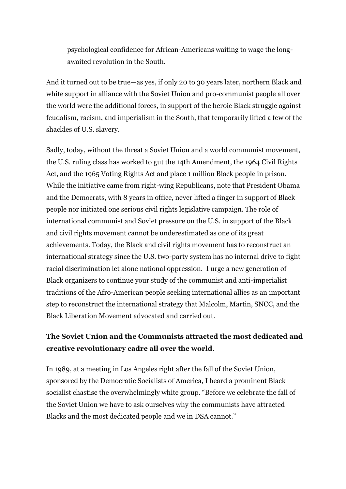psychological confidence for African-Americans waiting to wage the longawaited revolution in the South.

And it turned out to be true—as yes, if only 20 to 30 years later, northern Black and white support in alliance with the Soviet Union and pro-communist people all over the world were the additional forces, in support of the heroic Black struggle against feudalism, racism, and imperialism in the South, that temporarily lifted a few of the shackles of U.S. slavery.

Sadly, today, without the threat a Soviet Union and a world communist movement, the U.S. ruling class has worked to gut the 14th Amendment, the 1964 Civil Rights Act, and the 1965 Voting Rights Act and place 1 million Black people in prison. While the initiative came from right-wing Republicans, note that President Obama and the Democrats, with 8 years in office, never lifted a finger in support of Black people nor initiated one serious civil rights legislative campaign. The role of international communist and Soviet pressure on the U.S. in support of the Black and civil rights movement cannot be underestimated as one of its great achievements. Today, the Black and civil rights movement has to reconstruct an international strategy since the U.S. two-party system has no internal drive to fight racial discrimination let alone national oppression. I urge a new generation of Black organizers to continue your study of the communist and anti-imperialist traditions of the Afro-American people seeking international allies as an important step to reconstruct the international strategy that Malcolm, Martin, SNCC, and the Black Liberation Movement advocated and carried out.

#### **The Soviet Union and the Communists attracted the most dedicated and creative revolutionary cadre all over the world**.

In 1989, at a meeting in Los Angeles right after the fall of the Soviet Union, sponsored by the Democratic Socialists of America, I heard a prominent Black socialist chastise the overwhelmingly white group. "Before we celebrate the fall of the Soviet Union we have to ask ourselves why the communists have attracted Blacks and the most dedicated people and we in DSA cannot."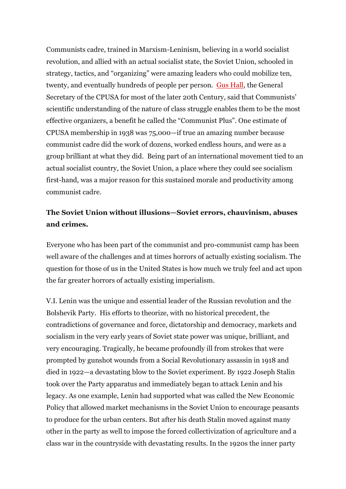Communists cadre, trained in Marxism-Leninism, believing in a world socialist revolution, and allied with an actual socialist state, the Soviet Union, schooled in strategy, tactics, and "organizing" were amazing leaders who could mobilize ten, twenty, and eventually hundreds of people per person. [Gus Hall,](https://en.wikipedia.org/wiki/Gus_Hall) the General Secretary of the CPUSA for most of the later 20th Century, said that Communists' scientific understanding of the nature of class struggle enables them to be the most effective organizers, a benefit he called the "Communist Plus". One estimate of CPUSA membership in 1938 was 75,000—if true an amazing number because communist cadre did the work of dozens, worked endless hours, and were as a group brilliant at what they did. Being part of an international movement tied to an actual socialist country, the Soviet Union, a place where they could see socialism first-hand, was a major reason for this sustained morale and productivity among communist cadre.

#### **The Soviet Union without illusions—Soviet errors, chauvinism, abuses and crimes.**

Everyone who has been part of the communist and pro-communist camp has been well aware of the challenges and at times horrors of actually existing socialism. The question for those of us in the United States is how much we truly feel and act upon the far greater horrors of actually existing imperialism.

V.I. Lenin was the unique and essential leader of the Russian revolution and the Bolshevik Party. His efforts to theorize, with no historical precedent, the contradictions of governance and force, dictatorship and democracy, markets and socialism in the very early years of Soviet state power was unique, brilliant, and very encouraging. Tragically, he became profoundly ill from strokes that were prompted by gunshot wounds from a Social Revolutionary assassin in 1918 and died in 1922—a devastating blow to the Soviet experiment. By 1922 Joseph Stalin took over the Party apparatus and immediately began to attack Lenin and his legacy. As one example, Lenin had supported what was called the New Economic Policy that allowed market mechanisms in the Soviet Union to encourage peasants to produce for the urban centers. But after his death Stalin moved against many other in the party as well to impose the forced collectivization of agriculture and a class war in the countryside with devastating results. In the 1920s the inner party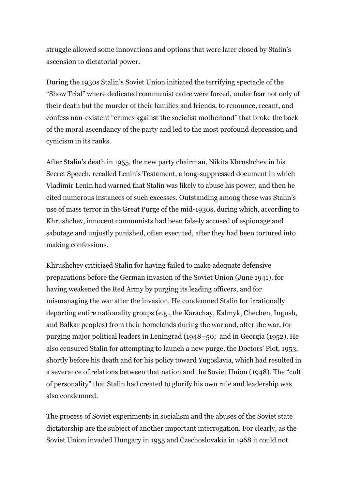struggle allowed some innovations and options that were later closed by Stalin's ascension to dictatorial power.

During the 1930s Stalin's Soviet Union initiated the terrifying spectacle of the "Show Trial" where dedicated communist cadre were forced, under fear not only of their death but the murder of their families and friends, to renounce, recant, and confess non-existent "crimes against the socialist motherland" that broke the back of the moral ascendancy of the party and led to the most profound depression and cynicism in its ranks.

After Stalin's death in 1955, the new party chairman, Nikita Khrushchev in his Secret Speech, recalled Lenin's Testament, a long-suppressed document in which Vladimir Lenin had warned that Stalin was likely to abuse his power, and then he cited numerous instances of such excesses. Outstanding among these was Stalin's use of mass terror in the Great Purge of the mid-1930s, during which, according to Khrushchev, innocent communists had been falsely accused of espionage and sabotage and unjustly punished, often executed, after they had been tortured into making confessions.

Khrushchev criticized Stalin for having failed to make adequate defensive preparations before the German invasion of the Soviet Union (June 1941), for having weakened the Red Army by purging its leading officers, and for mismanaging the war after the invasion. He condemned Stalin for irrationally deporting entire nationality groups (e.g., the Karachay, Kalmyk, Chechen, Ingush, and Balkar peoples) from their homelands during the war and, after the war, for purging major political leaders in Leningrad (1948–50; and in Georgia (1952). He also censured Stalin for attempting to launch a new purge, the Doctors' Plot, 1953, shortly before his death and for his policy toward Yugoslavia, which had resulted in a severance of relations between that nation and the Soviet Union (1948). The "cult of personality" that Stalin had created to glorify his own rule and leadership was also condemned.

The process of Soviet experiments in socialism and the abuses of the Soviet state dictatorship are the subject of another important interrogation. For clearly, as the Soviet Union invaded Hungary in 1955 and Czechoslovakia in 1968 it could not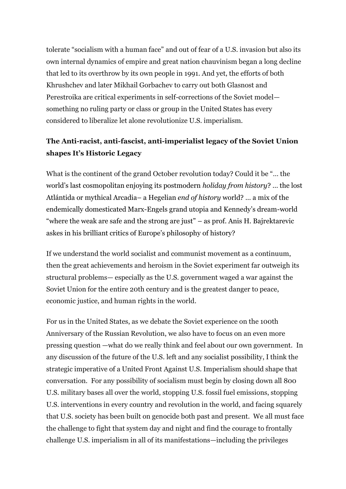tolerate "socialism with a human face" and out of fear of a U.S. invasion but also its own internal dynamics of empire and great nation chauvinism began a long decline that led to its overthrow by its own people in 1991. And yet, the efforts of both Khrushchev and later Mikhail Gorbachev to carry out both Glasnost and Perestroika are critical experiments in self-corrections of the Soviet model something no ruling party or class or group in the United States has every considered to liberalize let alone revolutionize U.S. imperialism.

#### **The Anti-racist, anti-fascist, anti-imperialist legacy of the Soviet Union shapes It's Historic Legacy**

What is the continent of the grand October revolution today? Could it be "… the world's last cosmopolitan enjoying its postmodern *holiday from history*? … the lost Atlántida or mythical Arcadia– a Hegelian *end of history* world? … a mix of the endemically domesticated Marx-Engels grand utopia and Kennedy's dream-world "where the weak are safe and the strong are just" – as prof. Anis H. Bajrektarevic askes in his brilliant critics of Europe's philosophy of history?

If we understand the world socialist and communist movement as a continuum, then the great achievements and heroism in the Soviet experiment far outweigh its structural problems— especially as the U.S. government waged a war against the Soviet Union for the entire 20th century and is the greatest danger to peace, economic justice, and human rights in the world.

For us in the United States, as we debate the Soviet experience on the 100th Anniversary of the Russian Revolution, we also have to focus on an even more pressing question —what do we really think and feel about our own government. In any discussion of the future of the U.S. left and any socialist possibility, I think the strategic imperative of a United Front Against U.S. Imperialism should shape that conversation. For any possibility of socialism must begin by closing down all 800 U.S. military bases all over the world, stopping U.S. fossil fuel emissions, stopping U.S. interventions in every country and revolution in the world, and facing squarely that U.S. society has been built on genocide both past and present. We all must face the challenge to fight that system day and night and find the courage to frontally challenge U.S. imperialism in all of its manifestations—including the privileges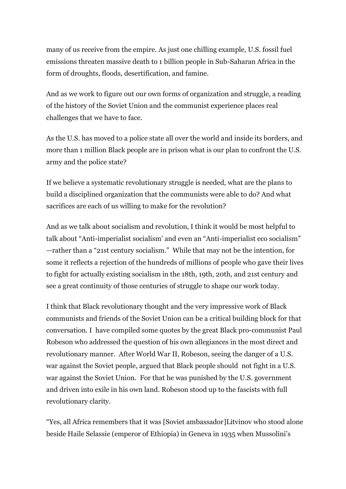many of us receive from the empire. As just one chilling example, U.S. fossil fuel emissions threaten massive death to 1 billion people in Sub-Saharan Africa in the form of droughts, floods, desertification, and famine.

And as we work to figure out our own forms of organization and struggle, a reading of the history of the Soviet Union and the communist experience places real challenges that we have to face.

As the U.S. has moved to a police state all over the world and inside its borders, and more than 1 million Black people are in prison what is our plan to confront the U.S. army and the police state?

If we believe a systematic revolutionary struggle is needed, what are the plans to build a disciplined organization that the communists were able to do? And what sacrifices are each of us willing to make for the revolution?

And as we talk about socialism and revolution, I think it would be most helpful to talk about "Anti-imperialist socialism' and even an "Anti-imperialist eco socialism" —rather than a "21st century socialism." While that may not be the intention, for some it reflects a rejection of the hundreds of millions of people who gave their lives to fight for actually existing socialism in the 18th, 19th, 20th, and 21st century and see a great continuity of those centuries of struggle to shape our work today.

I think that Black revolutionary thought and the very impressive work of Black communists and friends of the Soviet Union can be a critical building block for that conversation. I have compiled some quotes by the great Black pro-communist Paul Robeson who addressed the question of his own allegiances in the most direct and revolutionary manner. After World War II, Robeson, seeing the danger of a U.S. war against the Soviet people, argued that Black people should not fight in a U.S. war against the Soviet Union. For that he was punished by the U.S. government and driven into exile in his own land. Robeson stood up to the fascists with full revolutionary clarity.

"Yes, all Africa remembers that it was [Soviet ambassador]Litvinov who stood alone beside Haile Selassie (emperor of Ethiopia) in Geneva in 1935 when Mussolini's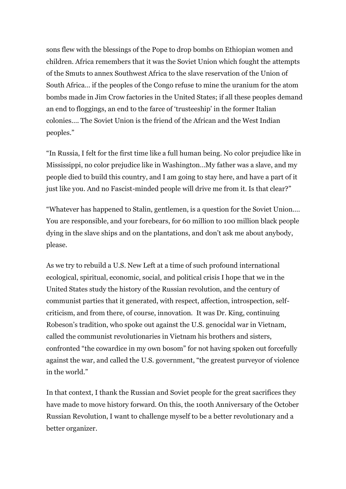sons flew with the blessings of the Pope to drop bombs on Ethiopian women and children. Africa remembers that it was the Soviet Union which fought the attempts of the Smuts to annex Southwest Africa to the slave reservation of the Union of South Africa… if the peoples of the Congo refuse to mine the uranium for the atom bombs made in Jim Crow factories in the United States; if all these peoples demand an end to floggings, an end to the farce of 'trusteeship' in the former Italian colonies…. The Soviet Union is the friend of the African and the West Indian peoples."

"In Russia, I felt for the first time like a full human being. No color prejudice like in Mississippi, no color prejudice like in Washington…My father was a slave, and my people died to build this country, and I am going to stay here, and have a part of it just like you. And no Fascist-minded people will drive me from it. Is that clear?"

"Whatever has happened to Stalin, gentlemen, is a question for the Soviet Union.… You are responsible, and your forebears, for 60 million to 100 million black people dying in the slave ships and on the plantations, and don't ask me about anybody, please.

As we try to rebuild a U.S. New Left at a time of such profound international ecological, spiritual, economic, social, and political crisis I hope that we in the United States study the history of the Russian revolution, and the century of communist parties that it generated, with respect, affection, introspection, selfcriticism, and from there, of course, innovation. It was Dr. King, continuing Robeson's tradition, who spoke out against the U.S. genocidal war in Vietnam, called the communist revolutionaries in Vietnam his brothers and sisters, confronted "the cowardice in my own bosom" for not having spoken out forcefully against the war, and called the U.S. government, "the greatest purveyor of violence in the world."

In that context, I thank the Russian and Soviet people for the great sacrifices they have made to move history forward. On this, the 100th Anniversary of the October Russian Revolution, I want to challenge myself to be a better revolutionary and a better organizer.